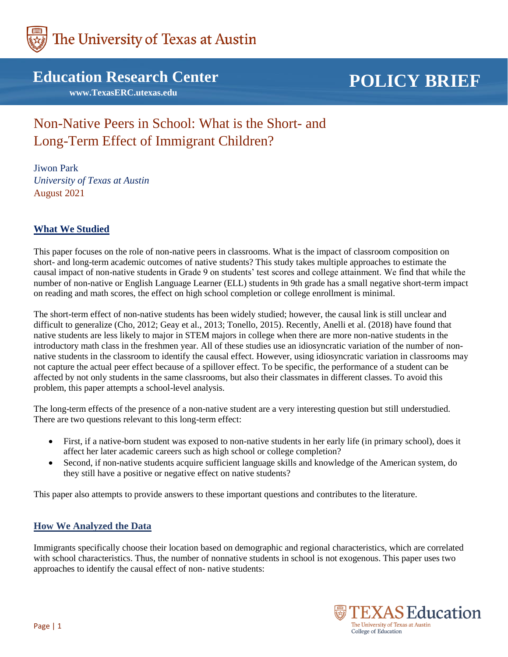

**Education Research Center**

 **www.TexasERC.utexas.edu**

# **POLICY BRIEF**

## Non-Native Peers in School: What is the Short- and Long-Term Effect of Immigrant Children?

Jiwon Park *University of Texas at Austin* August 2021

### **What We Studied**

This paper focuses on the role of non-native peers in classrooms. What is the impact of classroom composition on short- and long-term academic outcomes of native students? This study takes multiple approaches to estimate the causal impact of non-native students in Grade 9 on students' test scores and college attainment. We find that while the number of non-native or English Language Learner (ELL) students in 9th grade has a small negative short-term impact on reading and math scores, the effect on high school completion or college enrollment is minimal.

The short-term effect of non-native students has been widely studied; however, the causal link is still unclear and difficult to generalize (Cho, 2012; Geay et al., 2013; Tonello, 2015). Recently, Anelli et al. (2018) have found that native students are less likely to major in STEM majors in college when there are more non-native students in the introductory math class in the freshmen year. All of these studies use an idiosyncratic variation of the number of nonnative students in the classroom to identify the causal effect. However, using idiosyncratic variation in classrooms may not capture the actual peer effect because of a spillover effect. To be specific, the performance of a student can be affected by not only students in the same classrooms, but also their classmates in different classes. To avoid this problem, this paper attempts a school-level analysis.

The long-term effects of the presence of a non-native student are a very interesting question but still understudied. There are two questions relevant to this long-term effect:

- First, if a native-born student was exposed to non-native students in her early life (in primary school), does it affect her later academic careers such as high school or college completion?
- Second, if non-native students acquire sufficient language skills and knowledge of the American system, do they still have a positive or negative effect on native students?

This paper also attempts to provide answers to these important questions and contributes to the literature.

#### **How We Analyzed the Data**

Immigrants specifically choose their location based on demographic and regional characteristics, which are correlated with school characteristics. Thus, the number of nonnative students in school is not exogenous. This paper uses two approaches to identify the causal effect of non- native students:

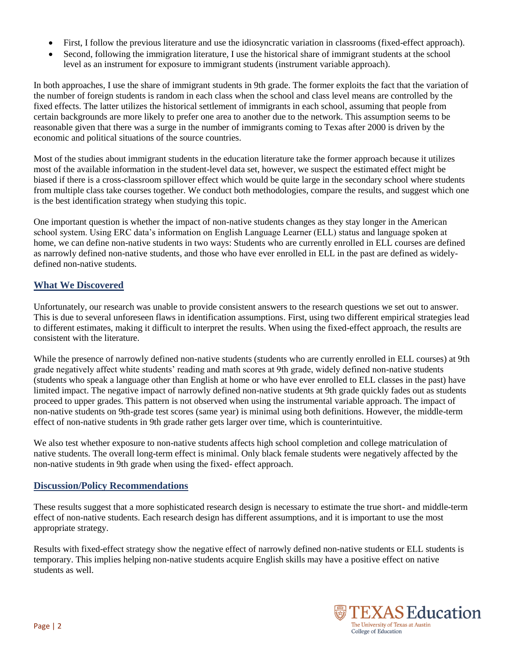- First, I follow the previous literature and use the idiosyncratic variation in classrooms (fixed-effect approach).
- Second, following the immigration literature, I use the historical share of immigrant students at the school level as an instrument for exposure to immigrant students (instrument variable approach).

In both approaches, I use the share of immigrant students in 9th grade. The former exploits the fact that the variation of the number of foreign students is random in each class when the school and class level means are controlled by the fixed effects. The latter utilizes the historical settlement of immigrants in each school, assuming that people from certain backgrounds are more likely to prefer one area to another due to the network. This assumption seems to be reasonable given that there was a surge in the number of immigrants coming to Texas after 2000 is driven by the economic and political situations of the source countries.

Most of the studies about immigrant students in the education literature take the former approach because it utilizes most of the available information in the student-level data set, however, we suspect the estimated effect might be biased if there is a cross-classroom spillover effect which would be quite large in the secondary school where students from multiple class take courses together. We conduct both methodologies, compare the results, and suggest which one is the best identification strategy when studying this topic.

One important question is whether the impact of non-native students changes as they stay longer in the American school system. Using ERC data's information on English Language Learner (ELL) status and language spoken at home, we can define non-native students in two ways: Students who are currently enrolled in ELL courses are defined as narrowly defined non-native students, and those who have ever enrolled in ELL in the past are defined as widelydefined non-native students.

### **What We Discovered**

Unfortunately, our research was unable to provide consistent answers to the research questions we set out to answer. This is due to several unforeseen flaws in identification assumptions. First, using two different empirical strategies lead to different estimates, making it difficult to interpret the results. When using the fixed-effect approach, the results are consistent with the literature.

While the presence of narrowly defined non-native students (students who are currently enrolled in ELL courses) at 9th grade negatively affect white students' reading and math scores at 9th grade, widely defined non-native students (students who speak a language other than English at home or who have ever enrolled to ELL classes in the past) have limited impact. The negative impact of narrowly defined non-native students at 9th grade quickly fades out as students proceed to upper grades. This pattern is not observed when using the instrumental variable approach. The impact of non-native students on 9th-grade test scores (same year) is minimal using both definitions. However, the middle-term effect of non-native students in 9th grade rather gets larger over time, which is counterintuitive.

We also test whether exposure to non-native students affects high school completion and college matriculation of native students. The overall long-term effect is minimal. Only black female students were negatively affected by the non-native students in 9th grade when using the fixed- effect approach.

#### **Discussion/Policy Recommendations**

These results suggest that a more sophisticated research design is necessary to estimate the true short- and middle-term effect of non-native students. Each research design has different assumptions, and it is important to use the most appropriate strategy.

Results with fixed-effect strategy show the negative effect of narrowly defined non-native students or ELL students is temporary. This implies helping non-native students acquire English skills may have a positive effect on native students as well.